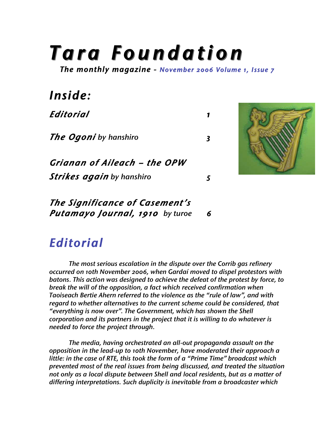## *T a r a F o u n d a ti o n*

*The monthly magazine - November 2006 Volume 1, Issue 7* 

| Inside:                          |   |  |
|----------------------------------|---|--|
| Editorial                        | 1 |  |
| <b>The Ogoni</b> by hanshiro     | 3 |  |
| Grianan of Aileach - the OPW     |   |  |
| <b>Strikes again</b> by hanshiro | 5 |  |
| The Significance of Casement's   |   |  |
| Putamayo Journal, 1910 by turoe  |   |  |



 *The most serious escalation in the dispute over the Corrib gas refinery occurred on 10th November 2006, when Gardaí moved to dispel protestors with batons. This action was designed to achieve the defeat of the protest by force, to break the will of the opposition, a fact which received confirmation when Taoiseach Bertie Ahern referred to the violence as the "rule of law", and with regard to whether alternatives to the current scheme could be considered, that "everything is now over". The Government, which has shown the Shell corporation and its partners in the project that it is willing to do whatever is needed to force the project through.*

*The media, having orchestrated an all-out propaganda assault on the opposition in the lead-up to 10th November, have moderated their approach a little: in the case of RTE, this took the form of a "Prime Time" broadcast which prevented most of the real issues from being discussed, and treated the situation not only as a local dispute between Shell and local residents, but as a matter of differing interpretations. Such duplicity is inevitable from a broadcaster which*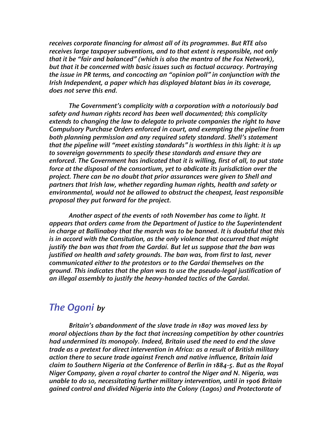*receives corporate financing for almost all of its programmes. But RTE also receives large taxpayer subventions, and to that extent is responsible, not only that it be "fair and balanced" (which is also the mantra of the Fox Network), but that it be concerned with basic issues such as factual accuracy. Portraying the issue in PR terms, and concocting an "opinion poll" in conjunction with the Irish Independent, a paper which has displayed blatant bias in its coverage, does not serve this end.* 

 *The Government's complicity with a corporation with a notoriously bad safety and human rights record has been well documented; this complicity extends to changing the law to delegate to private companies the right to have Compulsory Purchase Orders enforced in court, and exempting the pipeline from both planning permission and any required safety standard. Shell's statement that the pipeline will "meet existing standards" is worthless in this light: it is up to sovereign governments to specify these standards and ensure they are enforced. The Government has indicated that it is willing, first of all, to put state force at the disposal of the consortium, yet to abdicate its jurisdiction over the project. There can be no doubt that prior assurances were given to Shell and partners that Irish law, whether regarding human rights, health and safety or environmental, would not be allowed to obstruct the cheapest, least responsible proposal they put forward for the project.* 

 *Another aspect of the events of 10th November has come to light. It appears that orders came from the Department of Justice to the Superintendent in charge at Ballinaboy that the march was to be banned. It is doubtful that this is in accord with the Consitution, as the only violence that occurred that might justify the ban was that from the Gardaí. But let us suppose that the ban was justified on health and safety grounds. The ban was, from first to last, never communicated either to the protestors or to the Gardaí themselves on the ground. This indicates that the plan was to use the pseudo-legal justification of an illegal assembly to justify the heavy-handed tactics of the Gardai.*

## *The Ogoni by*

 *Britain's abandonment of the slave trade in 1807 was moved less by moral objections than by the fact that increasing competition by other countries had undermined its monopoly. Indeed, Britain used the need to end the slave trade as a pretext for direct intervention in Africa: as a result of British military action there to secure trade against French and native influence, Britain laid claim to Southern Nigeria at the Conference of Berlin in 1884-5. But as the Royal Niger Company, given a royal charter to control the Niger and N. Nigeria, was unable to do so, necessitating further military intervention, until in 1906 Britain gained control and divided Nigeria into the Colony (Lagos) and Protectorate of*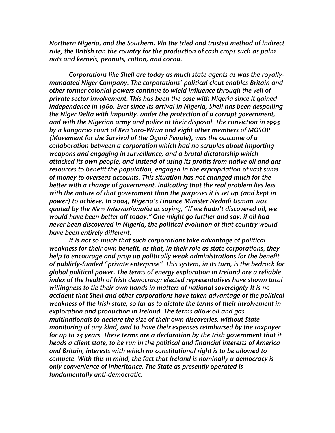*Northern Nigeria, and the Southern. Via the tried and trusted method of indirect rule, the British ran the country for the production of cash crops such as palm nuts and kernels, peanuts, cotton, and cocoa.*

*Corporations like Shell are today as much state agents as was the royallymandated Niger Company. The corporations' political clout enables Britain and other former colonial powers continue to wield influence through the veil of private sector involvement. This has been the case with Nigeria since it gained independence in 1960. Ever since its arrival in Nigeria, Shell has been despoiling the Niger Delta with impunity, under the protection of a corrupt government, and with the Nigerian army and police at their disposal. The conviction in 1995 by a kangaroo court of Ken Saro-Wiwa and eight other members of MOSOP (Movement for the Survival of the Ogoni People), was the outcome of a collaboration between a corporation which had no scruples about importing weapons and engaging in surveillance, and a brutal dictatorship which attacked its own people, and instead of using its profits from native oil and gas resources to benefit the population, engaged in the expropriation of vast sums of money to overseas accounts. This situation has not changed much for the better with a change of government, indicating that the real problem lies less with the nature of that government than the purposes it is set up (and kept in power) to achieve. In 2004, Nigeria's Finance Minister Nedadi Usman was quoted by the New Internationalist as saying, "If we hadn't discovered oil, we would have been better off today." One might go further and say: if oil had never been discovered in Nigeria, the political evolution of that country would have been entirely different.*

*It is not so much that such corporations take advantage of political weakness for their own benefit, as that, in their role as state corporations, they help to encourage and prop up politically weak administrations for the benefit of publicly-funded "private enterprise". This system, in its turn, is the bedrock for global political power. The terms of energy exploration in Ireland are a reliable index of the health of Irish democracy: elected representatives have shown total willingness to tie their own hands in matters of national sovereignty It is no accident that Shell and other corporations have taken advantage of the political weakness of the Irish state, so far as to dictate the terms of their involvement in exploration and production in Ireland. The terms allow oil and gas multinationals to declare the size of their own discoveries, without State monitoring of any kind, and to have their expenses reimbursed by the taxpayer for up to 25 years. These terms are a declaration by the Irish government that it heads a client state, to be run in the political and financial interests of America and Britain, interests with which no constitutional right is to be allowed to compete. With this in mind, the fact that Ireland is nominally a democracy is only convenience of inheritance. The State as presently operated is fundamentally anti-democratic.*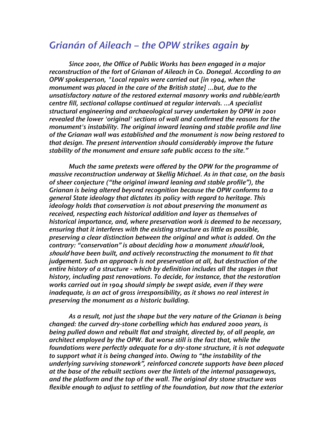## *Grianán of Aileach – the OPW strikes again by*

 *Since 2001, the Office of Public Works has been engaged in a major reconstruction of the fort of Grianan of Aileach in Co. Donegal. According to an OPW spokesperson, "Local repairs were carried out [in 1904, when the monument was placed in the care of the British state] …but, due to the unsatisfactory nature of the restored external masonry works and rubble/earth centre fill, sectional collapse continued at regular intervals. …A specialist structural engineering and archaeological survey undertaken by OPW in 2001 revealed the lower 'original' sections of wall and confirmed the reasons for the monument's instability. The original inward leaning and stable profile and line of the Grianan wall was established and the monument is now being restored to that design. The present intervention should considerably improve the future stability of the monument and ensure safe public access to the site."*

*Much the same pretexts were offered by the OPW for the programme of massive reconstruction underway at Skellig Michael. As in that case, on the basis of sheer conjecture ("the original inward leaning and stable profile"), the Grianan is being altered beyond recognition because the OPW conforms to a general State ideology that dictates its policy with regard to heritage. This ideology holds that conservation is not about preserving the monument as received, respecting each historical addition and layer as themselves of historical importance, and, where preservation work is deemed to be necessary, ensuring that it interferes with the existing structure as little as possible, preserving a clear distinction between the original and what is added. On the contrary: "conservation" is about deciding how a monument should look, should have been built, and actively reconstructing the monument to fit that judgement. Such an approach is not preservation at all, but destruction of the entire history of a structure - which by definition includes all the stages in that history, including past renovations. To decide, for instance, that the restoration works carried out in 1904 should simply be swept aside, even if they were inadequate, is an act of gross irresponsibility, as it shows no real interest in preserving the monument as a historic building.*

*As a result, not just the shape but the very nature of the Grianan is being changed: the curved dry-stone corbelling which has endured 2000 years, is being pulled down and rebuilt flat and straight, directed by, of all people, an architect employed by the OPW. But worse still is the fact that, while the foundations were perfectly adequate for a dry-stone structure, it is not adequate to support what it is being changed into. Owing to "the instability of the underlying surviving stonework", reinforced concrete supports have been placed at the base of the rebuilt sections over the lintels of the internal passageways, and the platform and the top of the wall. The original dry stone structure was flexible enough to adjust to settling of the foundation, but now that the exterior*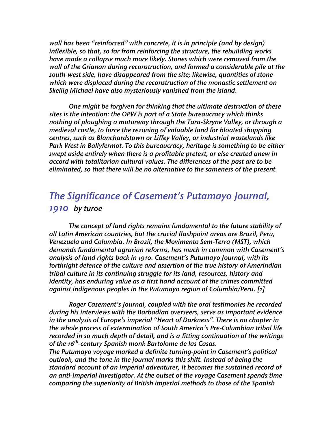*wall has been "reinforced" with concrete, it is in principle (and by design) inflexible, so that, so far from reinforcing the structure, the rebuilding works have made a collapse much more likely. Stones which were removed from the wall of the Grianan during reconstruction, and formed a considerable pile at the south-west side, have disappeared from the site; likewise, quantities of stone which were displaced during the reconstruction of the monastic settlement on Skellig Michael have also mysteriously vanished from the island.*

*One might be forgiven for thinking that the ultimate destruction of these sites is the intention: the OPW is part of a State bureaucracy which thinks nothing of ploughing a motorway through the Tara-Skryne Valley, or through a medieval castle, to force the rezoning of valuable land for bloated shopping centres, such as Blanchardstown or Liffey Valley, or industrial wastelands like Park West in Ballyfermot. To this bureaucracy, heritage is something to be either swept aside entirely when there is a profitable pretext, or else created anew in accord with totalitarian cultural values. The differences of the past are to be eliminated, so that there will be no alternative to the sameness of the present.*

## *The Significance of Casement's Putamayo Journal, 1910 by turoe*

*The concept of land rights remains fundamental to the future stability of all Latin American countries, but the crucial flashpoint areas are Brazil, Peru, Venezuela and Columbia. In Brazil, the Movimento Sem-Terra (MST), which demands fundamental agrarian reforms, has much in common with Casement's analysis of land rights back in 1910. Casement's Putumayo Journal, with its forthright defence of the culture and assertion of the true history of Amerindian tribal culture in its continuing struggle for its land, resources, history and identity, has enduring value as a first hand account of the crimes committed against indigenous peoples in the Putumayo region of Columbia/Peru. [1]* 

 *Roger Casement's Journal, coupled with the oral testimonies he recorded during his interviews with the Barbadian overseers, serve as important evidence in the analysis of Europe's imperial "Heart of Darkness". There is no chapter in the whole process of extermination of South America's Pre-Columbian tribal life recorded in so much depth of detail, and is a fitting continuation of the writings of the 16th -century Spanish monk Bartolome de las Casas.*

*The Putumayo voyage marked a definite turning-point in Casement's political outlook, and the tone in the journal marks this shift. Instead of being the standard account of an imperial adventurer, it becomes the sustained record of an anti-imperial investigator. At the outset of the voyage Casement spends time comparing the superiority of British imperial methods to those of the Spanish*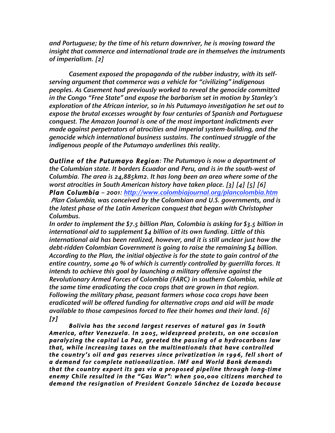*and Portuguese; by the time of his return downriver, he is moving toward the insight that commerce and international trade are in themselves the instruments of imperialism. [2]* 

*Casement exposed the propaganda of the rubber industry, with its selfserving argument that commerce was a vehicle for "civilizing" indigenous peoples. As Casement had previously worked to reveal the genocide committed in the Congo "Free State" and expose the barbarism set in motion by Stanley's exploration of the African interior, so in his Putumayo investigation he set out to expose the brutal excesses wrought by four centuries of Spanish and Portuguese conquest. The Amazon Journal is one of the most important indictments ever made against perpetrators of atrocities and imperial system-building, and the genocide which international business sustains. The continued struggle of the indigenous people of the Putumayo underlines this reality.*

*Outline of the Putumayo Region: The Putumayo is now a department of the Columbian state. It borders Ecuador and Peru, and is in the south-west of Columbia. The area is 24,885km2. It has long been an area where some of the worst atrocities in South American history have taken place. [3] [4] [5] [6] Plan Columbia – 2001: http://www.colombiajournal.org/plancolombia.htm Plan Columbia, was conceived by the Colombian and U.S. governments, and is the latest phase of the Latin American conquest that began with Christopher Columbus.*

*In order to implement the \$7.5 billion Plan, Colombia is asking for \$3.5 billion in international aid to supplement \$4 billion of its own funding. Little of this international aid has been realized, however, and it is still unclear just how the debt-ridden Colombian Government is going to raise the remaining \$4 billion. According to the Plan, the initial objective is for the state to gain control of the entire country, some 40 % of which is currently controlled by guerrilla forces. It intends to achieve this goal by launching a military offensive against the Revolutionary Armed Forces of Colombia (FARC) in southern Colombia, while at the same time eradicating the coca crops that are grown in that region. Following the military phase, peasant farmers whose coca crops have been eradicated will be offered funding for alternative crops and aid will be made available to those campesinos forced to flee their homes and their land. [6] [7]* 

 *Bolivia has the second larges t reserves of natural gas in South America, after Venezuela. In 2005, widespread protes ts, on one occasion paralyzing the capital La Paz, greeted the pass ing of a hydrocarbons law that, while increas ing taxes on the multinationals that have controlled the country's oil and gas reserves since privatization in 1996, fell short of a demand for complete nationalization. IMF and World Bank demands that the country export it s gas via a proposed pipeline through long-time enemy Chile resulted in the "Gas War ": when 500,000 citizens marched to demand the res ignation of President Gonzalo Sánchez de Lozada because*